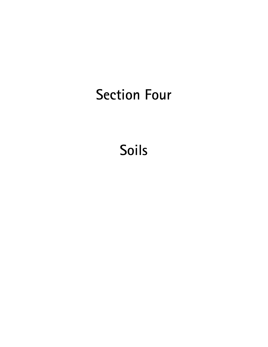# Section Four

Soils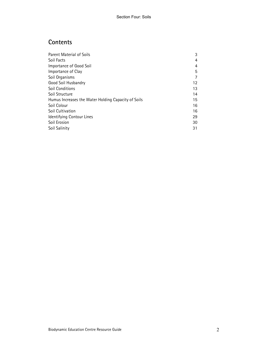# **Contents**

| Parent Material of Soils                            | 3  |
|-----------------------------------------------------|----|
| Soil Facts                                          | 4  |
| Importance of Good Soil                             | 4  |
| Importance of Clay                                  | 5  |
| Soil Organisms                                      | 7  |
| Good Soil Husbandry                                 | 12 |
| Soil Conditions                                     | 13 |
| Soil Structure                                      | 14 |
| Humus Increases the Water Holding Capacity of Soils | 15 |
| Soil Colour                                         | 16 |
| Soil Cultivation                                    | 16 |
| Identifying Contour Lines                           | 29 |
| Soil Erosion                                        | 30 |
| Soil Salinity                                       | 31 |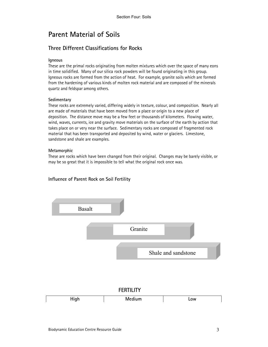# Parent Material of Soils

# Three Different Classifications for Rocks

#### Igneous

These are the primal rocks originating from molten mixtures which over the space of many eons in time solidified. Many of our silica rock powders will be found originating in this group. Igneous rocks are formed from the action of heat. For example, granite soils which are formed from the hardening of various kinds of molten rock material and are composed of the minerals quartz and feldspar among others.

#### **Sedimentary**

These rocks are extremely varied, differing widely in texture, colour, and composition. Nearly all are made of materials that have been moved from a place or origin to a new place of deposition. The distance move may be a few feet or thousands of kilometers. Flowing water, wind, waves, currents, ice and gravity move materials on the surface of the earth by action that takes place on or very near the surface. Sedimentary rocks are composed of fragmented rock material that has been transported and deposited by wind, water or glaciers. Limestone, sandstone and shale are examples.

#### Metamorphic

These are rocks which have been changed from their original. Changes may be barely visible, or may be so great that it is impossible to tell what the original rock once was.

### Influence of Parent Rock on Soil Fertility

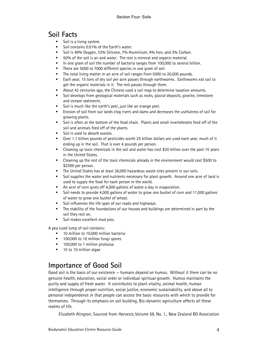# Soil Facts

- Soil is a living system.
- Soil contains 0.01% of the Earth's water.
- Soil is 49% Oxygen, 33% Silicone, 7% Aluminium, 4% Iron, and 2% Carbon.
- 50% of the soil is air and water. The rest is mineral and organic material.
- In one gram of soil the number of bacteria ranges from 100,000 to several billion.
- There are 5000 to 7000 different species in one gram of soil.
- The total living matter in an acre of soil ranges from 5000 to 20,000 pounds.
- Each year, 15 tons of dry soil per acre passes through earthworms. Earthworms eat soil to get the organic materials in it. The rest passes through them.
- About 42 centuries ago, the Chinese used a soil map to determine taxation amounts.
- Soil develops from geological materials such as rocks, glacial deposits, granite, limestone and stream sediments.
- Soil is much like the earth's peel, just like an orange peel.
- Erosion of soil from our lands clog rivers and dams and decreases the usefulness of soil for growing plants.
- Soil is often at the bottom of the food chain. Plants and small invertebrates feed off of the soil and animals feed off of the plants.
- Soil is used to absorb wastes.
- Over 1.1 billion pounds of pesticides worth 25 billion dollars are used each year, much of it ending up in the soil. That is over 4 pounds per person.
- Cleaning up toxic chemicals in the soil and water has cost \$20 billion over the past 15 years in the United States.
- Cleaning up the rest of the toxic chemicals already in the environment would cost \$500 to \$2500 per person.
- The United States has at least 36,000 hazardous waste sites present in our soils.
- Soil supplies the water and nutrients necessary for plant growth. Around one acre of land is used to supply the food for each person in the world.
- An acre of corn gives off 4,000 gallons of water a day in evaporation.
- Soil needs to provide 4,000 gallons of water to grow one bushel of corn and 11,000 gallons of water to grow one bushel of wheat.
- Soil influences the life span of our roads and highways.
- The stability of the foundations of our houses and buildings are determined in part by the soil they rest on.
- Soil makes excellent mud pies.

A pea sized lump of soil contains:

- 10 million to 10,000 million bacteria
- 100,000 to 10 million fungi spores
- 100,000 to 1 million protozoa
- 10 to 10 million algae

# Importance of Good Soil

Good soil is the basis of our existence — humans depend on humus. Without it there can be no genuine health, education, social order or individual spiritual growth. Humus maintains the purity and supply of fresh water. It contributes to plant vitality, animal health, human intelligence through proper nutrition, social justice, economic sustainability, and above all to personal independence in that people can access the basic resources with which to provide for themselves. Through its emphasis on soil building, Bio-dynamic agriculture affects all these realms of life.

Elizabeth Alington, Sourced from Harvests, Volume 59, No. 1., New Zealand BD Association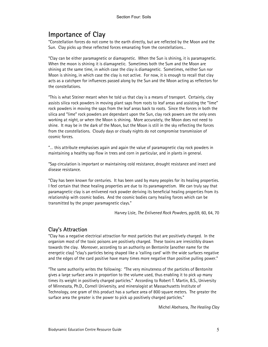# Importance of Clay

"Constellation forces do not come to the earth directly, but are reflected by the Moon and the Sun. Clay picks up these reflected forces emanating from the constellations…

"Clay can be either paramagnetic or diamagnetic. When the Sun is shining, it is paramagnetic. When the moon is shining it is diamagnetic. Sometimes both the Sum and the Moon are shining at the same time, in which case the clay is diamagnetic. Sometimes, neither Sun nor Moon is shining, in which case the clay is not active. For now, it is enough to recall that clay acts as a catchpen for influences passed along by the Sun and the Moon acting as reflectors for the constellations.

"This is what Steiner meant when he told us that clay is a means of transport. Certainly, clay assists silica rock powders in moving plant saps from roots to leaf areas and assisting the "lime" rock powders in moving the saps from the leaf areas back to roots. Since the forces in both the silica and "lime" rock powders are dependant upon the Sun, clay rock powers are the only ones working at night, or when the Moon is shining. More accurately, the Moon does not need to shine. It may be in the dark of the Moon, but the Moon is still in the sky reflecting the forces from the constellations. Cloudy days or cloudy nights do not compromise transmission of cosmic forces.

"… this attribute emphasises again and again the value of paramagnetic clay rock powders in maintaining a healthy sap flow in trees and corn in particular, and in plants in general.

"Sap circulation is important or maintaining cold resistance, drought resistance and insect and disease resistance.

"Clay has been known for centuries. It has been used by many peoples for its healing properties. I feel certain that these healing properties are due to its paramagnetism. We can truly say that paramagnetic clay is an enlivened rock powder deriving its beneficial healing properties from its relationship with cosmic bodies. And the cosmic bodies carry healing forces which can be transmitted by the proper paramagnetic clays."

Harvey Lisle, The Enlivened Rock Powders, pgs59, 60, 64, 70

### Clay's Attraction

"Clay has a negative electrical attraction for most particles that are positively charged. In the organism most of the toxic poisons are positively charged. These toxins are irresistibly drawn towards the clay. Moreover, according to an authority on Bentonite (another name for the energetic clay) "clay's particles being shaped like a 'calling card' with the wide surfaces negative and the edges of the card positive have many times more negative than positive pulling power."

"The same authority writes the following: "The very minuteness of the particles of Bentonite gives a large surface area in proportion to the volume used, thus enabling it to pick up many times its weight in positively charged particles." According to Robert T. Martin, B.S., University of Minnesota, Ph.D., Cornell University, and mineralogist at Massachusetts Institute of Technology, one gram of this product has a surface area of 800 square meters. The greater the surface area the greater is the power to pick up positively charged particles."

Michel Abehsera, The Healing Clay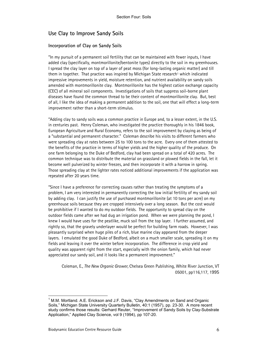# Use Clay to Improve Sandy Soils

#### Incorporation of Clay on Sandy Soils

"In my pursuit of a permanent soil fertility that can be maintained with fewer inputs, I have added clay (specifically, montmorillonite/bentonite types) directly to the soil in my greenhouses. I spread the clay layer on top of a layer of peat moss (for long-lasting organic matter) and till them in together. That practice was inspired by Michigan State research<sup>1</sup> which indicated impressive improvements in yield, moisture retention, and nutrient availability on sandy soils amended with montmorillonite clay. Montmorillonite has the highest cation exchange capacity (CEC) of all mineral soil components. Investigations of soils that suppress soil-borne plant diseases have found the common thread to be their content of montmorillonite clay. But, best of all, I like the idea of making a permanent addition to the soil, one that will effect a long-term improvement rather than a short-term stimulus.

"Adding clay to sandy soils was a common practice in Europe and, to a lesser extent, in the U.S. in centuries past. Henry Coleman, who investigated the practice thoroughly in his 1846 book, European Agriculture and Rural Economy, refers to the soil improvement by claying as being of a "substantial and permanent character." Coleman describe his visits to different farmers who were spreading clay at rates between 25 to 100 tons to the acre. Every one of them attested to the benefits of the practice in terms of higher yields and the higher quality of the produce. On one farm belonging to the Duke of Bedford, clay had been spread on a total of 420 acres. The common technique was to distribute the material on grassland or plowed fields in the fall, let it become well pulverized by winter freezes, and then incorporate it with a harrow in spring. Those spreading clay at the lighter rates noticed additional improvements if the application was repeated after 20 years time.

"Since I have a preference for correcting causes rather than treating the symptoms of a problem, I am very interested in permanently correcting the low initial fertility of my sandy soil by adding clay. I can justify the use of purchased montmorillonite (at 10 tons per acre) on my greenhouse soils because they are cropped intensively over a long season. But the cost would be prohibitive if I wanted to do my outdoor fields. The opportunity to spread clay on the outdoor fields came after we had dug an irrigation pond. When we were planning the pond, I knew I would have uses for the peatlike, muck soil from the top layer. I further assumed, and rightly so, that the gravely underlayer would be perfect for building farm roads. However, I was pleasantly surprised when huge piles of a rich, blue marine clay appeared from the deeper layers. I emulated the good Duke of Bedford, albeit on a much smaller scale, spreading it on my fields and leaving it over the winter before incorporation. The difference in crop yield and quality was apparent right from the start, especially with the onion family, which had never appreciated our sandy soil, and it looks like a permanent improvement."

Coleman, E., The New Organic Grower, Chelsea Green Publishing, White River Junction, VT 05001, pp116,117, 1995

 $\overline{a}$ 

<sup>1</sup> M.M. Mortland. A.E. Erickson and J.F. Davis, "Clay Amendments on Sand and Organic Soils," Michigan State University Quarterly Bulletin, 40:1 (1957), pp. 23-30. A more recent study confirms those results: Gerhard Reuter, "Improvement of Sandy Soils by Clay-Substrate Application," Applied Clay Science, vol 9 (1994), pp 107-20.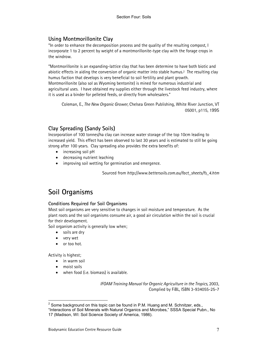# Using Montmorillonite Clay

"In order to enhance the decomposition process and the quality of the resulting compost, I incorporate 1 to 2 percent by weight of a montmorillonite-type clay with the forage crops in the windrow.

"Montmorillonite is an expanding-lattice clay that has been determine to have both biotic and abiotic effects in aiding the conversion of organic matter into stable humus.2 The resulting clay humus faction that develops is very beneficial to soil fertility and plant growth. Montmorillonite (also sol as Wyoming bentonite) is mined for numerous industrial and agricultural uses. I have obtained my supplies either through the livestock feed industry, where it is used as a binder for pelleted feeds, or directly from wholesalers."

Coleman, E., The New Organic Grower, Chelsea Green Publishing, White River Junction, VT 05001, p115, 1995

# Clay Spreading (Sandy Soils)

Incorporation of 100 tonnes/ha clay can increase water storage of the top 10cm leading to increased yield. This effect has been observed to last 30 years and is estimated to still be going strong after 100 years. Clay spreading also provides the extra benefits of:

- increasing soil pH
- decreasing nutrient leaching
- improving soil wetting for germination and emergence.

Sourced from http://www.bettersoils.com.au/fact\_sheets/fs\_4.htm

# Soil Organisms

### Conditions Required for Soil Organisms

Most soil organisms are very sensitive to changes in soil moisture and temperature. As the plant roots and the soil organisms consume air, a good air circulation within the soil is crucial for their development.

Soil organism activity is generally low when;

- soils are dry
- very wet
- or too hot.

Activity is highest;

 $\overline{a}$ 

- in warm soil
- moist soils
- when food (i.e. biomass) is available.

IFOAM Training Manual for Organic Agriculture in the Tropics, 2003, Complied by FiBL, ISBN 3-934055-25-7

 $2$  Some background on this topic can be found in P.M. Huang and M. Schnitzer, eds.,

<sup>&</sup>quot;Interactions of Soil Minerals with Natural Organics and Microbes," SSSA Special Pubn., No 17 (Madison, WI: Soil Science Society of America, 1986).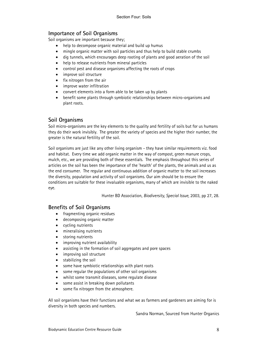# Importance of Soil Organisms

Soil organisms are important because they;

- help to decompose organic material and build up humus
- mingle organic matter with soil particles and thus help to build stable crumbs
- dig tunnels, which encourages deep rooting of plants and good aeration of the soil
- help to release nutrients from mineral particles
- control pest and disease organisms affecting the roots of crops
- improve soil structure
- fix nitrogen from the air
- improve water infiltration
- convert elements into a form able to be taken up by plants
- benefit some plants through symbiotic relationships between micro-organisms and plant roots.

# Soil Organisms

Soil micro-organisms are the key elements to the quality and fertility of soils but for us humans they do their work invisibly. The greater the variety of species and the higher their number, the greater is the natural fertility of the soil.

Soil organisms are just like any other living organism - they have similar requirements viz. food and habitat. Every time we add organic matter in the way of compost, green manure crops, mulch, etc., we are providing both of these essentials. The emphasis throughout this series of articles on the soil has been the importance of the 'health' of the plants, the animals and us as the end consumer. The regular and continuous addition of organic matter to the soil increases the diversity, population and activity of soil organisms. Our aim should be to ensure the conditions are suitable for these invaluable organisms, many of which are invisible to the naked eye.

Hunter BD Association, Biodiversity, Special Issue, 2003, pp 27, 28.

# Benefits of Soil Organisms

- fragmenting organic residues
- decomposing organic matter
- cycling nutrients
- mineralising nutrients
- storing nutrients
- improving nutrient availability
- assisting in the formation of soil aggregates and pore spaces
- improving soil structure
- stabilizing the soil
- some have symbiotic relationships with plant roots
- some regular the populations of other soil organisms
- whilst some transmit diseases, some regulate disease
- some assist in breaking down pollutants
- some fix nitrogen from the atmosphere.

All soil organisms have their functions and what we as farmers and gardeners are aiming for is diversity in both species and numbers.

Sandra Norman, Sourced from Hunter Organics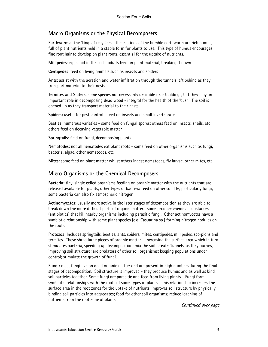### Macro Organisms or the Physical Decomposers

Earthworms: the 'king' of recyclers - the castings of the humble earthworm are rich humus, full of plant nutrients held in a stable form for plants to use. This type of humus encourages fine root hair to develop on plant roots, essential for the uptake of nutrients.

Millipedes: eggs laid in the soil - adults feed on plant material, breaking it down

Centipedes: feed on living animals such as insects and spiders

Ants: assist with the aeration and water infiltration through the tunnels left behind as they transport material to their nests

Termites and Slaters: some species not necessarily desirable near buildings, but they play an important role in decomposing dead wood - integral for the health of the 'bush'. The soil is opened up as they transport material to their nests

Spiders: useful for pest control - feed on insects and small invertebrates

Beetles: numerous varieties - some feed on fungal spores; others feed on insects, snails, etc; others feed on decaying vegetable matter

Springtails: feed on fungi, decomposing plants

Nematodes: not all nematodes eat plant roots - some feed on other organisms such as fungi, bacteria, algae, other nematodes, etc.

Mites: some feed on plant matter whilst others ingest nematodes, fly larvae, other mites, etc.

### Micro Organisms or the Chemical Decomposers

Bacteria: tiny, single celled organisms feeding on organic matter with the nutrients that are released available for plants; other types of bacteria feed on other soil life, particularly fungi; some bacteria can also fix atmospheric nitrogen

Actinomycetes: usually more active in the later stages of decomposition as they are able to break down the more difficult parts of organic matter. Some produce chemical substances (antibiotics) that kill nearby organisms including parasitic fungi. Other actinomycetes have a symbiotic relationship with some plant species (e.g. Casuarina sp.) forming nitrogen nodules on the roots.

Protozoa: Includes springtails, beetles, ants, spiders, mites, centipedes, millipedes, scorpions and termites. These shred large pieces of organic matter – increasing the surface area which in turn stimulates bacteria, speeding up decomposition; mix the soil; create 'tunnels' as they burrow, improving soil structure; are predators of other soil organisms; keeping populations under control; stimulate the growth of fungi.

Fungi: most fungi live on dead organic matter and are present in high numbers during the final stages of decomposition. Soil structure is improved - they produce humus and as well as bind soil particles together. Some fungi are parasitic and feed from living plants. Fungi form symbiotic relationships with the roots of some types of plants – this relationship increases the surface area in the root zones for the uptake of nutrients; improves soil structure by physically binding soil particles into aggregates; food for other soil organisms; reduce leaching of nutrients from the root zone of plants.

Continued over page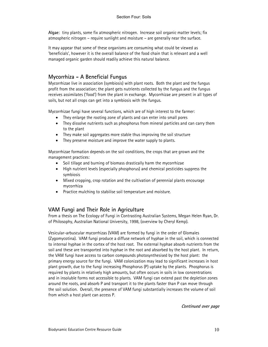Algae: tiny plants, some fix atmospheric nitrogen. Increase soil organic matter levels; fix atmospheric nitrogen – require sunlight and moisture – are generally near the surface.

It may appear that some of these organisms are consuming what could be viewed as 'beneficials', however it is the overall balance of the food chain that is relevant and a well managed organic garden should readily achieve this natural balance.

# Mycorrhiza - A Beneficial Fungus

Mycorrhizae live in association (symbiosis) with plant roots. Both the plant and the fungus profit from the association; the plant gets nutrients collected by the fungus and the fungus receives assimilates ('food') from the plant in exchange. Mycorrhizae are present in all types of soils, but not all crops can get into a symbiosis with the fungus.

Mycorrhizae fungi have several functions, which are of high interest to the farmer:

- They enlarge the rooting zone of plants and can enter into small pores
- They dissolve nutrients such as phosphorus from mineral particles and can carry them to the plant
- They make soil aggregates more stable thus improving the soil structure
- They preserve moisture and improve the water supply to plants.

Mycorrhizae formation depends on the soil conditions, the crops that are grown and the management practices:

- Soil tillage and burning of biomass drastically harm the mycorrhizae
- High nutrient levels (especially phosphorus) and chemical pesticides suppress the symbiosis
- Mixed cropping, crop rotation and the cultivation of perennial plants encourage mycorrhiza
- Practice mulching to stabilise soil temperature and moisture.

# VAM Fungi and Their Role in Agriculture

From a thesis on The Ecology of Fungi in Contrasting Australian Systems, Megan Helen Ryan, Dr. of Philosophy, Australian National University, 1998, (overview by Cheryl Kemp).

Vesicular-arbuscular mycorrhizas (VAM) are formed by fungi in the order of Glomales (Zygomycotina). VAM fungi produce a diffuse network of hyphae in the soil, which is connected to internal hyphae in the cortex of the host root. The external hyphae absorb nutrients from the soil and these are transported into hyphae in the root and absorbed by the host plant. In return, the VAM fungi have access to carbon compounds photosynthesised by the host plant: the primary energy source for the fungi. VAM colonization may lead to significant increases in host plant growth, due to the fungi increasing Phosphorus (P) uptake by the plants. Phosphorus is required by plants in relatively high amounts, but often occurs in soils in low concentrations and in insoluble forms not accessible to plants. VAM fungi can extend past the depletion zones around the roots, and absorb P and transport it to the plants faster than P can move through the soil solution. Overall, the presence of VAM fungi substantially increases the volume of soil from which a host plant can access P.

Continued over page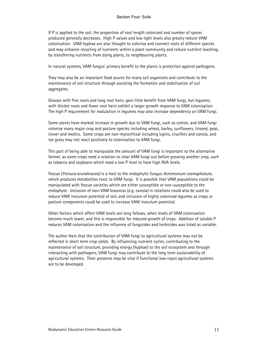If P is applied to the soil, the proportion of root length colonized and number of spores produced generally decreases. High P values and low light levels also greatly reduce VAM colonisation. VAM hyphae are also thought to colonise and connect roots of different species and may enhance recycling of nutrients within a plant community and reduce nutrient leaching, by transferring nutrients from dying plants, to neighbouring plants.

In natural systems, VAM fungus' primary benefit to the plants is protection against pathogens.

They may also be an important food source for many soil organisms and contribute to the maintenance of soil structure through assisting the formation and stabilisation of soil aggregates.

Grasses with fine roots and long root hairs, gain little benefit from VAM fungi, but legumes, with thicker roots and fewer root hairs exhibit a larger growth response to VAM colonisation. The high P requirement for nodulation in legumes may also increase dependency on VAM fungi.

Some plants have marked increase in growth due to VAM fungi, such as cotton, and VAM fungi colonise many major crop and pasture species including wheat, barley, sunflowers, linseed, peas, clover and medics. Some crops are non-mycorrhizal including lupins, crucifers and canola, and rye grass may not react positively to colonisation to VAM fungi.

This part of being able to manipulate the amount of VAM fungi is important to the alternative farmer, as some crops need a rotation to clear VAM fungi out before growing another crop, such as tobacco and soybeans which need a low P level to have high RVA levels.

Fescue (Festuca arundinacea) is a host to the endophytic fungus Acremonium coenophialum, which produces metabolites toxic to VAM fungi. It is possible that VAM populations could be manipulated with fescue varieties which are either susceptible or non-susceptible to the endophyte. Inclusion of non-VAM brassicas (e.g. canola) in rotations could also be used to reduce VAM inoculum potential of soil, and inclusion of highly colonised legumes as crops or pasture components could be used to increase VAM inoculum potential.

Other factors which affect VAM levels are long fallows, when levels of VAM colonisation become much lower, and this is responsible for reduced growth of crops. Addition of soluble P reduces VAM colonisation and the influence of fungicides and herbicides was listed as variable.

The author feels that the contribution of VAM fungi to agricultural systems may not be reflected in short term crop yields. By influencing nutrient cycles, contributing to the maintenance of soil structure, providing energy (hyphae) to the soil ecosystem and through interacting with pathogens, VAM fungi may contribute to the long term sustainability of agricultural systems. Their presence may be vital if functional low-input agricultural systems are to be developed.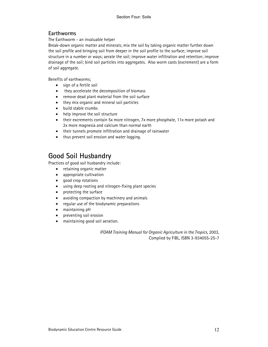# Earthworms

The Earthworm - an invaluable helper

Break-down organic matter and minerals; mix the soil by taking organic matter further down the soil profile and bringing soil from deeper in the soil profile to the surface; improve soil structure in a number or ways; aerate the soil; improve water infiltration and retention; improve drainage of the soil; bind soil particles into aggregates. Also worm casts (excrement) are a form of soil aggregate.

Benefits of earthworms;

- sign of a fertile soil
- they accelerate the decomposition of biomass
- remove dead plant material from the soil surface
- they mix organic and mineral soil particles
- build stable crumbs
- help improve the soil structure
- their excrements contain 5x more nitrogen, 7x more phosphate, 11x more potash and 2x more magnesia and calcium than normal earth
- their tunnels promote infiltration and drainage of rainwater
- thus prevent soil erosion and water logging.

# Good Soil Husbandry

Practices of good soil husbandry include:

- retaining organic matter
- appropriate cultivation
- good crop rotations
- using deep rooting and nitrogen-fixing plant species
- protecting the surface
- avoiding compaction by machinery and animals
- regular use of the biodynamic preparations
- maintaining pH
- preventing soil erosion
- maintaining good soil aeration.

IFOAM Training Manual for Organic Agriculture in the Tropics, 2003, Complied by FiBL, ISBN 3-934055-25-7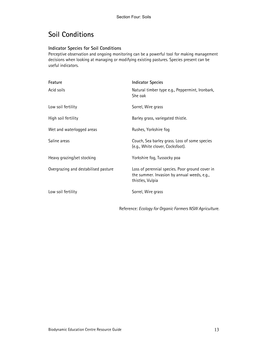# Soil Conditions

### Indicator Species for Soil Conditions

Perceptive observation and ongoing monitoring can be a powerful tool for making management decisions when looking at managing or modifying existing pastures. Species present can be useful indicators.

| Feature                              | <b>Indicator Species</b>                                                                                           |
|--------------------------------------|--------------------------------------------------------------------------------------------------------------------|
| Acid soils                           | Natural timber type e.g., Peppermint, Ironbark,<br>She oak                                                         |
| Low soil fertility                   | Sorrel, Wire grass                                                                                                 |
| High soil fertility                  | Barley grass, variegated thistle.                                                                                  |
| Wet and waterlogged areas            | Rushes, Yorkshire fog                                                                                              |
| Saline areas                         | Couch, Sea barley grass. Loss of some species<br>(e.g., White clover, Cocksfoot).                                  |
| Heavy grazing/set stocking           | Yorkshire fog, Tussocky poa                                                                                        |
| Overgrazing and destabilised pasture | Loss of perennial species. Poor ground cover in<br>the summer. Invasion by annual weeds, e.g.,<br>thistles, Vulpia |
| Low soil fertility                   | Sorrel, Wire grass                                                                                                 |

Reference: Ecology for Organic Farmers NSW Agriculture.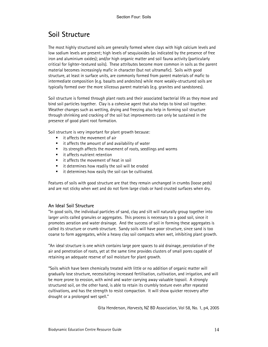# Soil Structure

The most highly structured soils are generally formed where clays with high calcium levels and low sodium levels are present; high levels of sesquioxides (as indicated by the presence of free iron and aluminium oxides); and/or high organic matter and soil fauna activity (particularly critical for lighter-textured soils). These attributes become more common in soils as the parent material becomes increasingly mafic in character (but not ultramafic). Soils with good structure, at least in surface units, are commonly formed from parent materials of mafic to intermediate composition (e.g. basalts and andesites) while more weakly-structured soils are typically formed over the more siliceous parent materials (e.g. granites and sandstones).

Soil structure is formed through plant roots and their associated bacterial life as they move and bind soil particles together. Clay is a cohesive agent that also helps to bind soil together. Weather changes such as wetting, drying and freezing also help in forming soil structure through shrinking and cracking of the soil but improvements can only be sustained in the presence of good plant root formation.

Soil structure is very important for plant growth because:

- $\blacksquare$  it affects the movement of air
- $\blacksquare$  it affects the amount of and availability of water
- its strength affects the movement of roots, seedlings and worms
- **E** it affects nutrient retention
- it affects the movement of heat in soil
- it determines how readily the soil will be eroded
- $\blacksquare$  it determines how easily the soil can be cultivated.

Features of soils with good structure are that they remain unchanged in crumbs (loose peds) and are not sticky when wet and do not form large clods or hard crusted surfaces when dry.

#### An Ideal Soil Structure

"In good soils, the individual particles of sand, clay and silt will naturally group together into larger units called granules or aggregates. This process is necessary to a good soil, since it promotes aeration and water drainage. And the success of soil in forming these aggregates is called its structure or crumb structure. Sandy soils will have poor structure, since sand is too coarse to form aggregates, while a heavy clay soil compacts when wet, inhibiting plant growth.

"An ideal structure is one which contains large pore spaces to aid drainage, percolation of the air and penetration of roots, yet at the same time provides clusters of small pores capable of retaining an adequate reserve of soil moisture for plant growth.

"Soils which have been chemically treated with little or no addition of organic matter will gradually lose structure, necessitating increased fertilisation, cultivation, and irrigation, and will be more prone to erosion, with wind and water carrying away valuable topsoil. A strongly structured soil, on the other hand, is able to retain its crumbly texture even after repeated cultivations, and has the strength to resist compaction. It will show quicker recovery after drought or a prolonged wet spell."

Gita Henderson, Harvests, NZ BD Association, Vol 58, No. 1, p4, 2005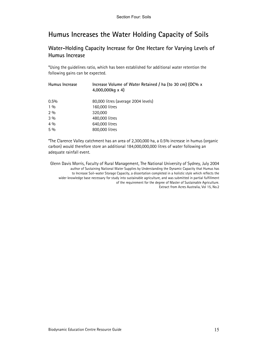# Humus Increases the Water Holding Capacity of Soils

# Water-Holding Capacity Increase for One Hectare for Varying Levels of Humus Increase

\*Using the guidelines ratio, which has been established for additional water retention the following gains can be expected.

| Humus Increase | Increase Volume of Water Retained / ha (to 30 cm) (OC% x<br>4,000,000kg x 4) |
|----------------|------------------------------------------------------------------------------|
| 0.5%           | 80,000 litres (average 2004 levels)                                          |
| $1\%$          | 160,000 litres                                                               |
| 2%             | 320,000                                                                      |
| 3%             | 480,000 litres                                                               |
| 4%             | 640,000 litres                                                               |
| 5%             | 800,000 litres                                                               |

\*The Clarence Valley catchment has an area of 2,300,000 ha, a 0.5% increase in humus (organic carbon) would therefore store an additional 184,000,000,000 litres of water following an adequate rainfall event.

Glenn Davis Morris, Faculty of Rural Management, The National University of Sydney, July 2004 author of Sustaining National Water Supplies by Understanding the Dynamic Capacity that Humus has to Increase Soil-water Storage Capacity, a dissertation completed in a holistic style which reflects the wider knowledge base necessary for study into sustainable agriculture, and was submitted in partial fulfillment of the requirement for the degree of Master of Sustainable Agriculture. Extract from Acres Australia, Vol 15, No.2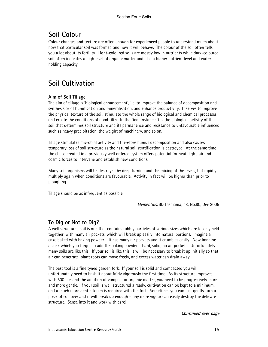# Soil Colour

Colour changes and texture are often enough for experienced people to understand much about how that particular soil was formed and how it will behave. The colour of the soil often tells you a lot about its fertility. Light-coloured soils are mostly low in nutrients while dark-coloured soil often indicates a high level of organic matter and also a higher nutrient level and water holding capacity.

# Soil Cultivation

### Aim of Soil Tillage

The aim of tillage is 'biological enhancement', i.e. to improve the balance of decomposition and synthesis or of humification and mineralisation, and enhance productivity. It serves to improve the physical texture of the soil, stimulate the whole range of biological and chemical processes and create the conditions of good tilth. In the final instance it is the biological activity of the soil that determines soil structure and its permanence and resistance to unfavourable influences such as heavy precipitation, the weight of machinery, and so on.

Tillage stimulates microbial activity and therefore humus decomposition and also causes temporary loss of soil structure as the natural soil stratification is destroyed. At the same time the chaos created in a previously well ordered system offers potential for heat, light, air and cosmic forces to intervene and establish new conditions.

Many soil organisms will be destroyed by deep turning and the mixing of the levels, but rapidly multiply again when conditions are favourable. Activity in fact will be higher than prior to ploughing.

Tillage should be as infrequent as possible.

Elementals; BD Tasmania, p8, No.80, Dec 2005

# To Dig or Not to Dig?

A well structured soil is one that contains rubbly particles of various sizes which are loosely held together, with many air pockets, which will break up easily into natural portions. Imagine a cake baked with baking powder – it has many air pockets and it crumbles easily. Now imagine a cake which you forgot to add the baking powder – hard, solid, no air pockets. Unfortunately many soils are like this. If your soil is like this, it will be necessary to break it up initially so that air can penetrate, plant roots can move freely, and excess water can drain away.

The best tool is a fine tyned garden fork. If your soil is solid and compacted you will unfortunately need to bash it about fairly vigorously the first time. As its structure improves with 500 use and the addition of compost or organic matter, you need to be progressively more and more gentle. If your soil is well structured already, cultivation can be kept to a minimum, and a much more gentle touch is required with the fork. Sometimes you can just gently turn a piece of soil over and it will break up enough – any more vigour can easily destroy the delicate structure. Sense into it and work with care!

Continued over page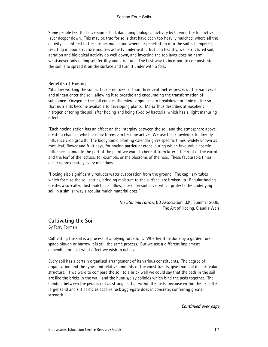Some people feel that inversion is bad, damaging biological activity by burying the top active layer deeper down. This may be true for soils that have been too heavily mulched, where all the activity is confined to the surface mulch and where air penetration into the soil is hampered, resulting in poor structure and less activity underneath. But in a healthy, well structured soil, aeration and biological activity go well down, and inverting the top layer does no harm whatsoever only aiding soil fertility and structure. The best way to incorporate compost into the soil is to spread it on the surface and turn it under with a fork.

#### Benefits of Hoeing

"Shallow working the soil surface – not deeper than three centimetres breaks up the hard crust and air can enter the soil, allowing it to breathe and encouraging the transformation of substance. Oxygen in the soil enables the micro-organisms to breakdown organic matter so that nutrients become available to developing plants. Maria Thus describes atmospheric nitrogen entering the soil after hoeing and being fixed by bacteria, which has a 'light manuring effect'.

"Each hoeing action has an effect on the interplay between the soil and the atmosphere above, creating chaos in which cosmic forces can become active. We use this knowledge to directly influence crop growth. The biodynamic planting calendar gives specific times, widely known as root, leaf, flower and fruit days, for hoeing particular crops, during which favourable cosmic influences stimulate the part of the plant we want to benefit from later – the root of the carrot and the leaf of the lettuce, for example, or the blossoms of the rose. These favourable times occur approximately every nine days.

"Hoeing also significantly reduces water evaporation from the ground. The capillary tubes which form as the soil settles, bringing moisture to the surface, are broken up. Regular hoeing creates a so-called dust mulch, a shallow, loose, dry soil cover which protects the underlying soil in a similar way a regular mulch material does."

> The Star and Farrow, BD Association, U.K., Summer 2005, The Art of Hoeing, Claudia Weis

### Cultivating the Soil

By Terry Forman

Cultivating the soil is a process of applying force to it. Whether it be done by a garden fork, spade plough or harrow it is still the same process. But we use a different implement depending on just what effect we wish to achieve.

Every soil has a certain organised arrangement of its various constituents. The degree of organisation and the types and relative amounts of the constituents, give that soil its particular structure. If we were to compare the soil to a brick wall we could say that the peds in the soil are like the bricks in the wall, and the humus/clay colloids which bind the peds together. The bonding between the peds is not as strong as that within the peds, because within the peds the larger sand and silt particles act like rock aggregate does in concrete, conferring greater strength.

Continued over page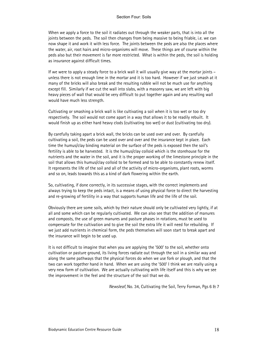When we apply a force to the soil it radiates out through the weaker parts, that is into all the joints between the peds. The soil then changes from being massive to being friable, i.e. we can now shape it and work it with less force. The joints between the peds are also the places where the water, air, root hairs and micro-organisms will move. These things are of course within the peds also but their movement is far more restricted. What is within the peds, the soil is holding as insurance against difficult times.

If we were to apply a steady force to a brick wall it will usually give way at the mortar joints – unless there is not enough lime in the mortar and it is too hard. However if we just smash at it many of the bricks will also break and the resulting rubble will not be much use for anything except fill. Similarly if we cut the wall into slabs, with a masonry saw, we are left with big heavy pieces of wall that would be very difficult to put together again and any resulting wall would have much less strength.

Cultivating or smashing a brick wall is like cultivating a soil when it is too wet or too dry respectively. The soil would not come apart in a way that allows it to be readily rebuilt. It would finish up as either hard heavy clods (cultivating too wet) or dust (cultivating too dry).

By carefully taking apart a brick wall, the bricks can be used over and over. By carefully cultivating a soil, the peds can be used over and over and the insurance kept in place. Each time the humus/clay binding material on the surface of the peds is exposed then the soil's fertility is able to be harvested. It is the humus/clay colloid which is the storehouse for the nutrients and the water in the soil, and it is the proper working of the limestone principle in the soil that allows this humus/clay colloid to be formed and to be able to constantly renew itself. It represents the life of the soil and all of the activity of micro-organisms, plant roots, worms and so on, leads towards this as a kind of dark flowering within the earth.

So, cultivating, if done correctly, in its successive stages, with the correct implements and always trying to keep the peds intact, is a means of using physical force to direct the harvesting and re-growing of fertility in a way that supports human life and the life of the soil.

Obviously there are some soils, which by their nature should only be cultivated very lightly, if at all and some which can be regularly cultivated. We can also see that the addition of manures and composts, the use of green manures and pasture phases in rotations, must be used to compensate for the cultivation and to give the soil the extra life it will need for rebuilding. If we just add nutrients in chemical form, the peds themselves will soon start to break apart and the insurance will begin to be used up.

It is not difficult to imagine that when you are applying the '500' to the soil, whether onto cultivation or pasture ground, its living forces radiate out through the soil in a similar way and along the same pathways that the physical forces do when we use fork or plough, and that the two can work together hand in hand. When we are using the '500' I think we are really using a very new form of cultivation. We are actually cultivating with life itself and this is why we see the improvement in the feel and the structure of the soil that we do.

Newsleaf, No. 34, Cultivating the Soil, Terry Forman, Pgs 6 & 7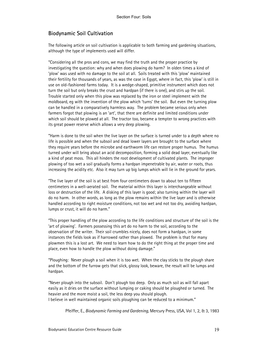# Biodynamic Soil Cultivation

The following article on soil cultivation is applicable to both farming and gardening situations, although the type of implements used will differ.

"Considering all the pros and cons, we may find the truth and the proper practice by investigating the question: why and when does plowing do harm? In olden times a kind of 'plow' was used with no damage to the soil at all. Soils treated with this 'plow' maintained their fertility for thousands of years, as was the case in Egypt, where in fact, this 'plow' is still in use on old-fashioned farms today. It is a wedge-shaped, primitive instrument which does not turn the soil but only breaks the crust and hardpan (if there is one), and stirs up the soil. Trouble started only when this plow was replaced by the iron or steel implement with the moldboard, eg with the invention of the plow which 'turns' the soil. But even the turning plow can be handled in a comparatively harmless way. The problem became serious only when farmers forgot that plowing is an 'art', that there are definite and limited conditions under which soil should be plowed at all. The tractor too, became a tempter to wrong practices with its great power reserve which allows a very deep plowing.

"Harm is done to the soil when the live layer on the surface is turned under to a depth where no life is possible and when the subsoil and dead lower layers are brought to the surface where they require years before the microbe and earthworm life can restore proper humus. The humus turned under will bring about an acid decomposition, forming a solid dead layer, eventually like a kind of peat moss. This all hinders the root development of cultivated plants. The improper plowing of too wet a soil gradually forms a hardpan impenetrable by air, water or roots, thus increasing the acidity etc. Also it may turn up big lumps which will lie in the ground for years.

"The live layer of the soil is at best from four centimeters down to about ten to fifteen centimeters in a well-aerated soil. The material within this layer is interchangeable without loss or destruction of the life. A disking of this layer is good; also turning within the layer will do no harm. In other words, as long as the plow remains within the live layer and is otherwise handled according to right moisture conditions, not too wet and not too dry, avoiding hardpan, lumps or crust, it will do no harm."

"This proper handling of the plow according to the life conditions and structure of the soil is the 'art of plowing'. Farmers possessing this art do no harm to the soil, according to the observation of the writer. Their soil crumbles nicely, does not form a hardpan, in some instances the fields look as if harrowed rather than plowed. The problem is that for many plowmen this is a lost art. We need to learn how to do the right thing at the proper time and place, even how to handle the plow without doing damage."

"Ploughing: Never plough a soil when it is too wet. When the clay sticks to the plough share and the bottom of the furrow gets that slick, glossy look, beware, the result will be lumps and hardpan.

"Never plough into the subsoil. Don't plough too deep. Only as much soil as will fall apart easily as it dries on the surface without lumping or caking should be ploughed or turned. The heavier and the more moist a soil, the less deep you should plough. I believe in well maintained organic soils ploughing can be reduced to a minimum."

Pfeiffer, E., *Biodynamic Farming and Gardening*, Mercury Press, USA, Vol 1, 2, & 3, 1983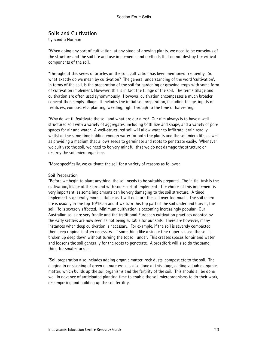### Soils and Cultivation

by Sandra Norman

"When doing any sort of cultivation, at any stage of growing plants, we need to be conscious of the structure and the soil life and use implements and methods that do not destroy the critical components of the soil.

"Throughout this series of articles on the soil, cultivation has been mentioned frequently. So what exactly do we mean by cultivation? The general understanding of the word 'cultivation', in terms of the soil, is the preparation of the soil for gardening or growing crops with some form of cultivation implement. However, this is in fact the tillage of the soil. The terms tillage and cultivation are often used synonymously. However, cultivation encompasses a much broader concept than simply tillage. It includes the initial soil preparation, including tillage, inputs of fertilizers, compost etc, planting, weeding, right through to the time of harvesting.

"Why do we till/cultivate the soil and what are our aims? Our aim always is to have a wellstructured soil with a variety of aggregates, including both size and shape, and a variety of pore spaces for air and water. A well-structured soil will allow water to infiltrate, drain readily whilst at the same time holding enough water for both the plants and the soil micro life, as well as providing a medium that allows seeds to germinate and roots to penetrate easily. Whenever we cultivate the soil, we need to be very mindful that we do not damage the structure or destroy the soil microorganisms.

"More specifically, we cultivate the soil for a variety of reasons as follows:

#### Soil Preparation

"Before we begin to plant anything, the soil needs to be suitably prepared. The initial task is the cultivation/tillage of the ground with some sort of implement. The choice of this implement is very important, as some implements can be very damaging to the soil structure. A tined implement is generally more suitable as it will not turn the soil over too much. The soil micro life is usually in the top 10/15cm and if we turn this top part of the soil under and bury it, the soil life is severely affected. Minimum cultivation is becoming increasingly popular. Our Australian soils are very fragile and the traditional European cultivation practices adopted by the early settlers are now seen as not being suitable for our soils. There are however, many instances when deep cultivation is necessary. For example, if the soil is severely compacted then deep ripping is often necessary. If something like a single tine ripper is used, the soil is broken up deep down without turning the topsoil under. This creates spaces for air and water and loosens the soil generally for the roots to penetrate. A broadfork will also do the same thing for smaller areas.

"Soil preparation also includes adding organic matter, rock dusts, compost etc to the soil. The digging in or slashing of green manure crops is also done at this stage, adding valuable organic matter, which builds up the soil organisms and the fertility of the soil. This should all be done well in advance of anticipated planting time to enable the soil microorganisms to do their work, decomposing and building up the soil fertility.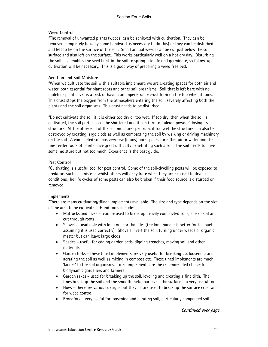#### Weed Control

"The removal of unwanted plants (weeds) can be achieved with cultivation. They can be removed completely (usually some handwork is necessary to do this) or they can be disturbed and left to lie on the surface of the soil. Small annual weeds can be cut just below the soil surface and also left on the surface. This works particularly well on a hot dry day. Disturbing the soil also enables the seed bank in the soil to spring into life and germinate, so follow-up cultivation will be necessary. This is a good way of preparing a weed free bed.

#### Aeration and Soil Moisture

"When we cultivate the soil with a suitable implement, we are creating spaces for both air and water, both essential for plant roots and other soil organisms. Soil that is left bare with no mulch or plant cover is at risk of having an impenetrable crust form on the top when it rains. This crust stops the oxygen from the atmosphere entering the soil, severely affecting both the plants and the soil organisms. This crust needs to be disturbed.

"Do not cultivate the soil if it is either too dry or too wet. If too dry, then when the soil is cultivated, the soil particles can be shattered and it can turn to 'talcum powder', losing its structure. At the other end of the soil moisture spectrum, if too wet the structure can also be destroyed by creating large clods as well as compacting the soil by walking or driving machinery on the soil. A compacted soil has very few (if any) pore spaces for either air or water and the fine feeder roots of plants have great difficulty penetrating such a soil. The soil needs to have some moisture but not too much. Experience is the best guide.

#### Pest Control

"Cultivating is a useful tool for pest control. Some of the soil-dwelling pests will be exposed to predators such as birds etc, whilst others will dehydrate when they are exposed to drying conditions. he life cycles of some pests can also be broken if their food source is disturbed or removed.

#### **Implements**

"There are many cultivating/tillage implements available. The size and type depends on the size of the area to be cultivated. Hand tools include:

- Mattocks and picks can be used to break up heavily compacted soils, loosen soil and cut through roots
- Shovels available with long or short handles (the long handle is better for the back assuming it is used correctly). Shovels invert the soil, turning under weeds or organic matter but can leave large clods
- Spades useful for edging garden beds, digging trenches, moving soil and other materials
- Garden forks these tined implements are very useful for breaking up, loosening and aerating the soil as well as mixing in compost etc. These tined implements are much 'kinder' to the soil organisms. Tined implements are the recommended choice for biodynamic gardeners and farmers
- Garden rakes used for breaking up the soil, leveling and creating a fine tilth. The tines break up the soil and the smooth metal bar levels the surface – a very useful tool
- Hoes there are various designs but they all are used to break up the surface crust and for weed control
- Broadfork very useful for loosening and aerating soil, particularly compacted soil.

Continued over page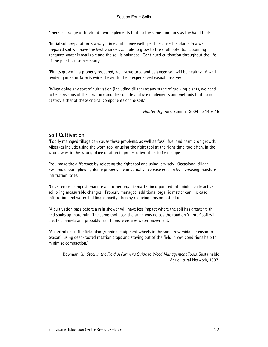"There is a range of tractor drawn implements that do the same functions as the hand tools.

"Initial soil preparation is always time and money well spent because the plants in a well prepared soil will have the best chance available to grow to their full potential, assuming adequate water is available and the soil is balanced. Continued cultivation throughout the life of the plant is also necessary.

"Plants grown in a properly prepared, well-structured and balanced soil will be healthy. A welltended garden or farm is evident even to the inexperienced casual observer.

"When doing any sort of cultivation (including tillage) at any stage of growing plants, we need to be conscious of the structure and the soil life and use implements and methods that do not destroy either of these critical components of the soil."

Hunter Organics, Summer 2004 pp 14 & 15

### Soil Cultivation

"Poorly managed tillage can cause these problems, as well as fossil fuel and harm crop growth. Mistakes include using the worn tool or using the right tool at the right time, too often, in the wrong way, in the wrong place or at an improper orientation to field slope.

"You make the difference by selecting the right tool and using it wisely. Occasional tillage – even moldboard plowing dome properly – can actually decrease erosion by increasing moisture infiltration rates.

"Cover crops, compost, manure and other organic matter incorporated into biologically active soil bring measurable changes. Properly managed, additional organic matter can increase infiltration and water-holding capacity, thereby reducing erosion potential.

"A cultivation pass before a rain shower will have less impact where the soil has greater tilth and soaks up more rain. The same tool used the same way across the road on 'tighter' soil will create channels and probably lead to more erosive water movement.

"A controlled traffic field plan (running equipment wheels in the same row middles season to season), using deep-rooted rotation crops and staying out of the field in wet conditions help to minimise compaction."

Bowman. G, Steel in the Field, A Farmer's Guide to Weed Management Tools, Sustainable Agricultural Network, 1997.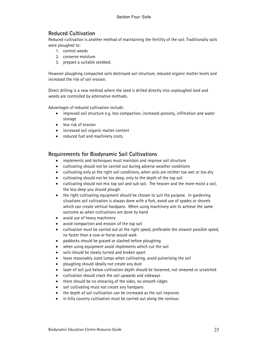# Reduced Cultivation

Reduced cultivation is another method of maintaining the fertility of the soil. Traditionally soils were ploughed to:

- 1. control weeds
- 2. conserve moisture
- 3. prepare a suitable seedbed.

However ploughing compacted soils destroyed soil structure, reduced organic matter levels and increased the risk of soil erosion.

Direct drilling is a new method where the seed is drilled directly into unploughed land and weeds are controlled by alternative methods.

Advantages of reduced cultivation include:

- improved soil structure e.g. less compaction, increased porosity, infiltration and water storage
- less risk of erosion
- increased soil organic matter content
- reduced fuel and machinery costs.

### Requirements for Biodynamic Soil Cultivations

- implements and techniques must maintain and improve soil structure
- cultivating should not be carried out during adverse weather conditions
- cultivating only at the right soil conditions, when soils are neither too wet or too dry
- cultivating should not be too deep, only to the depth of the top soil
- cultivating should not mix top soil and sub soil. The heavier and the more moist a soil, the less deep you should plough.
- the right cultivating equipment should be chosen to suit the purpose. In gardening situations soil cultivation is always done with a fork, avoid use of spades or shovels which can create vertical hardpans. When using machinery aim to achieve the same outcome as when cultivations are done by hand
- avoid use of heavy machinery
- avoid compaction and erosion of the top soil
- cultivation must be carried out at the right speed, preferable the slowest possible speed, no faster than a cow or horse would walk
- paddocks should be grazed or slashed before ploughing
- when using equipment avoid implements which cut the soil
- soils should be slowly turned and broken apart
- leave reasonably sized lumps when cultivating, avoid pulverising the soil
- ploughing should ideally not create any dust
- layer of soil just below cultivation depth should be loosened, not smeared or scratched
- cultivation should crack the soil upwards and sideways
- there should be no smearing of the sides, no smooth ridges
- soil cultivating must not create any hardpans
- the depth of soil cultivation can be increased as the soil improves
- in hilly country cultivation must be carried out along the contour.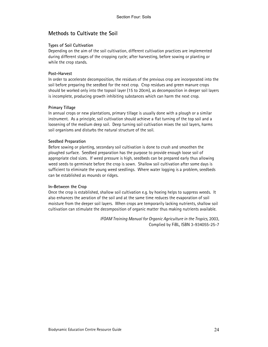### Methods to Cultivate the Soil

#### Types of Soil Cultivation

Depending on the aim of the soil cultivation, different cultivation practices are implemented during different stages of the cropping cycle; after harvesting, before sowing or planting or while the crop stands.

#### Post-Harvest

In order to accelerate decomposition, the residues of the previous crop are incorporated into the soil before preparing the seedbed for the next crop. Crop residues and green manure crops should be worked only into the topsoil layer (15 to 20cm), as decomposition in deeper soil layers is incomplete, producing growth inhibiting substances which can harm the next crop.

#### Primary Tillage

In annual crops or new plantations, primary tillage is usually done with a plough or a similar instrument. As a principle, soil cultivation should achieve a flat turning of the top soil and a loosening of the medium deep soil. Deep turning soil cultivation mixes the soil layers, harms soil organisms and disturbs the natural structure of the soil.

#### Seedbed Preparation

Before sowing or planting, secondary soil cultivation is done to crush and smoothen the ploughed surface. Seedbed preparation has the purpose to provide enough loose soil of appropriate clod sizes. If weed pressure is high, seedbeds can be prepared early thus allowing weed seeds to germinate before the crop is sown. Shallow soil cultivation after some days is sufficient to eliminate the young weed seedlings. Where water logging is a problem, seedbeds can be established as mounds or ridges.

#### In-Between the Crop

Once the crop is established, shallow soil cultivation e.g. by hoeing helps to suppress weeds. It also enhances the aeration of the soil and at the same time reduces the evaporation of soil moisture from the deeper soil layers. When crops are temporarily lacking nutrients, shallow soil cultivation can stimulate the decomposition of organic matter thus making nutrients available.

> IFOAM Training Manual for Organic Agriculture in the Tropics, 2003, Complied by FiBL, ISBN 3-934055-25-7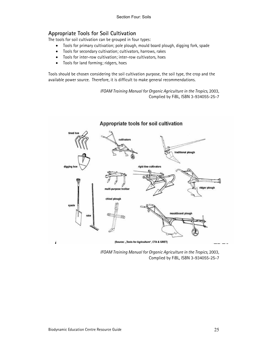# Appropriate Tools for Soil Cultivation

The tools for soil cultivation can be grouped in four types:

- Tools for primary cultivation; pole plough, mould board plough, digging fork, spade
- Tools for secondary cultivation; cultivators, harrows, rakes
- Tools for inter-row cultivation; inter-row cultivators, hoes
- Tools for land forming; ridgers, hoes

Tools should be chosen considering the soil cultivation purpose, the soil type, the crop and the available power source. Therefore, it is difficult to make general recommendations.

> IFOAM Training Manual for Organic Agriculture in the Tropics, 2003, Complied by FiBL, ISBN 3-934055-25-7



IFOAM Training Manual for Organic Agriculture in the Tropics, 2003, Complied by FiBL, ISBN 3-934055-25-7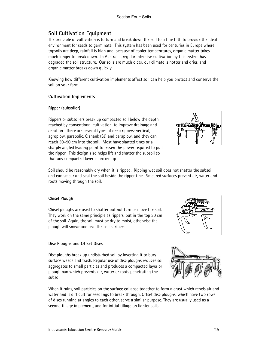# Soil Cultivation Equipment

The principle of cultivation is to turn and break down the soil to a fine tilth to provide the ideal environment for seeds to germinate. This system has been used for centuries in Europe where topsoils are deep, rainfall is high and, because of cooler temperatures, organic matter takes much longer to break down. In Australia, regular intensive cultivation by this system has degraded the soil structure. Our soils are much older, our climate is hotter and drier, and organic matter breaks down quickly.

Knowing how different cultivation implements affect soil can help you protect and conserve the soil on your farm.

#### Cultivation Implements

#### Ripper (subsoiler)

Rippers or subsoilers break up compacted soil below the depth reached by conventional cultivation, to improve drainage and aeration. There are several types of deep rippers: vertical, agroplow, parabolic, C shank (SJ) and paraplow, and they can reach 30–90 cm into the soil. Most have slanted tines or a sharply angled leading point to lessen the power required to pull the ripper. This design also helps lift and shatter the subsoil so that any compacted layer is broken up.



Soil should be reasonably dry when it is ripped. Ripping wet soil does not shatter the subsoil and can smear and seal the soil beside the ripper tine. Smeared surfaces prevent air, water and roots moving through the soil.

#### Chisel Plough

Chisel ploughs are used to shatter but not turn or move the soil. They work on the same principle as rippers, but in the top 30 cm of the soil. Again, the soil must be dry to moist, otherwise the plough will smear and seal the soil surfaces.

#### Disc Ploughs and Offset Discs

Disc ploughs break up undisturbed soil by inverting it to bury surface weeds and trash. Regular use of disc ploughs reduces soil aggregates to small particles and produces a compacted layer or plough pan which prevents air, water or roots penetrating the subsoil.

When it rains, soil particles on the surface collapse together to form a crust which repels air and water and is difficult for seedlings to break through. Offset disc ploughs, which have two rows of discs running at angles to each other, serve a similar purpose. They are usually used as a second tillage implement, and for initial tillage on lighter soils.



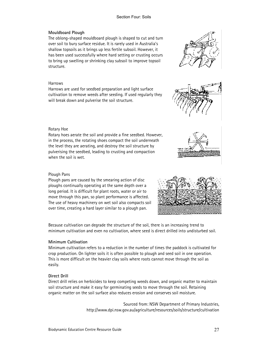#### Section Four: Soils

#### Mouldboard Plough

The oblong-shaped mouldboard plough is shaped to cut and turn over soil to bury surface residue. It is rarely used in Australia's shallow topsoils as it brings up less fertile subsoil. However, it has been used successfully where hard setting or crusting occurs to bring up swelling or shrinking clay subsoil to improve topsoil structure.

#### **Harrows**

Harrows are used for seedbed preparation and light surface cultivation to remove weeds after seeding. If used regularly they will break down and pulverise the soil structure.

#### Rotary Hoe

Rotary hoes aerate the soil and provide a fine seedbed. However, in the process, the rotating shoes compact the soil underneath the level they are aerating, and destroy the soil structure by pulverising the seedbed, leading to crusting and compaction when the soil is wet.

#### Plough Pans

Plough pans are caused by the smearing action of disc ploughs continually operating at the same depth over a long period. It is difficult for plant roots, water or air to move through this pan, so plant performance is affected. The use of heavy machinery on wet soil also compacts soil over time, creating a hard layer similar to a plough pan.

Because cultivation can degrade the structure of the soil, there is an increasing trend to minimum cultivation and even no cultivation, where seed is direct drilled into undisturbed soil.

### Minimum Cultivation

Minimum cultivation refers to a reduction in the number of times the paddock is cultivated for crop production. On lighter soils it is often possible to plough and seed soil in one operation. This is more difficult on the heavier clay soils where roots cannot move through the soil as easily.

### Direct Drill

Direct drill relies on herbicides to keep competing weeds down, and organic matter to maintain soil structure and make it easy for germinating seeds to move through the soil. Retaining organic matter on the soil surface also reduces erosion and conserves soil moisture.

> Sourced from: NSW Department of Primary Industries, http://www.dpi.nsw.gov.au/agriculture/resources/soils/structure/cultivation







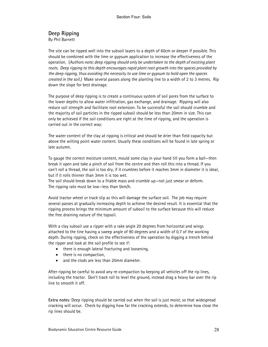# Deep Ripping

By Phil Barnett

The site can be ripped well into the subsoil layers to a depth of 60cm or deeper if possible. This should be combined with the lime or gypsum application to increase the effectiveness of the operation. (Authors note; deep ripping should only be undertaken to the depth of existing plant roots. Deep ripping to this depth encourages rapid plant root growth into the spaces provided by the deep ripping, thus avoiding the necessity to use lime or gypsum to hold open the spaces created in the soil.) Make several passes along the planting line to a width of 2 to 3 metres. Rip down the slope for best drainage.

The purpose of deep ripping is to create a continuous system of soil pores from the surface to the lower depths to allow water infiltration, gas exchange, and drainage. Ripping will also reduce soil strength and facilitate root extension. To be successful the soil should crumble and the majority of soil particles in the ripped subsoil should be less than 20mm in size. This can only be achieved if the soil conditions are right at the time of ripping, and the operation is carried out in the correct way:

The water content of the clay at ripping is critical and should be drier than field capacity but above the wilting point water content. Usually these conditions will be found in late spring or late autumn.

To gauge the correct moisture content, mould some clay in your hand till you form a ball—then break it open and take a pinch of soil from the centre and then roll this into a thread. If you can't roll a thread, the soil is too dry, if it crumbles before it reaches 3mm in diameter it is ideal, but if it rolls thinner than 3mm it is too wet.

The soil should break down to a friable mass and crumble up—not just smear or deform. The ripping rate must be low—less than 5km/h.

Avoid tractor wheel or track slip as this will damage the surface soil. The job may require several passes at gradually increasing depth to achieve the desired result. It is essential that the ripping process brings the minimum amount of subsoil to the surface because this will reduce the free draining nature of the topsoil.

With a clay subsoil use a ripper with a rake angle 20 degrees from horizontal and wings attached to the tine having a sweep angle of 90 degrees and a width of 0.7 of the working depth. During ripping, check on the effectiveness of the operation by digging a trench behind the ripper and look at the soil profile to see if:

- there is enough lateral fracturing and loosening,
- there is no compaction,
- and the clods are less than 20mm diameter.

After ripping be careful to avoid any re-compaction by keeping all vehicles off the rip lines, including the tractor. Don't track roll to level the ground, instead drag a heavy bar over the rip line to smooth it off.

Extra notes: Deep ripping should be carried out when the soil is just moist, so that widespread cracking will occur. Check by digging how far the cracking extends, to determine how close the rip lines should be.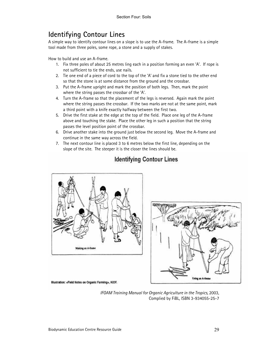# Identifying Contour Lines

A simple way to identify contour lines on a slope is to use the A-frame. The A-frame is a simple tool made from three poles, some rope, a stone and a supply of stakes.

How to build and use an A-frame.

- 1. Fix three poles of about 25 metres ling each in a position forming an even 'A'. If rope is not sufficient to tie the ends, use nails.
- 2. Tie one end of a piece of cord to the top of the 'A' and fix a stone tied to the other end so that the stone is at some distance from the ground and the crossbar.
- 3. Put the A-frame upright and mark the position of both legs. Then, mark the point where the string passes the crossbar of the 'A'.
- 4. Turn the A-frame so that the placement of the legs is reversed. Again mark the point where the string passes the crossbar. If the two marks are not at the same point, mark a third point with a knife exactly halfway between the first two.
- 5. Drive the first stake at the edge at the top of the field. Place one leg of the A-frame above and touching the stake. Place the other leg in such a position that the string passes the level position point of the crossbar.
- 6. Drive another stake into the ground just below the second leg. Move the A-frame and continue in the same way across the field.
- 7. The next contour line is placed 3 to 6 metres below the first line, depending on the slope of the site. The steeper it is the closer the lines should be.



# **Identifying Contour Lines**



Illustration: «Fleid Notes on Organic Farming», KIOF.

IFOAM Training Manual for Organic Agriculture in the Tropics, 2003, Complied by FiBL, ISBN 3-934055-25-7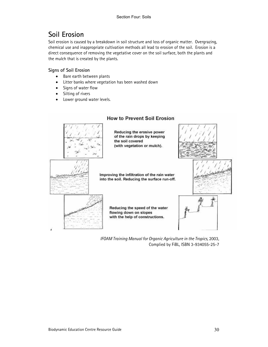# Soil Erosion

Soil erosion is caused by a breakdown in soil structure and loss of organic matter. Overgrazing, chemical use and inappropriate cultivation methods all lead to erosion of the soil. Erosion is a direct consequence of removing the vegetative cover on the soil surface, both the plants and the mulch that is created by the plants.

### Signs of Soil Erosion

- Bare earth between plants
- Litter banks where vegetation has been washed down
- Signs of water flow
- Silting of rivers
- Lower ground water levels.



### **How to Prevent Soil Erosion**

IFOAM Training Manual for Organic Agriculture in the Tropics, 2003, Complied by FiBL, ISBN 3-934055-25-7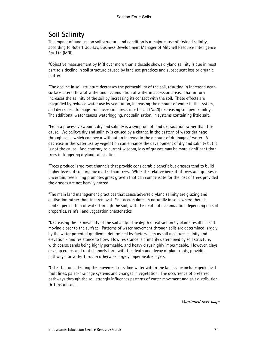# Soil Salinity

The impact of land use on soil structure and condition is a major cause of dryland salinity, according to Robert Gourlay, Business Development Manager of Mitchell Resource Intelligence Pty. Ltd (MRI).

"Objective measurement by MRI over more than a decade shows dryland salinity is due in most part to a decline in soil structure caused by land use practices and subsequent loss or organic matter.

"The decline in soil structure decreases the permeability of the soil, resulting in increased nearsurface lateral flow of water and accumulation of water in accession areas. That in turn increases the salinity of the soil by increasing its contact with the soil. These effects are magnified by reduced water use by vegetation, increasing the amount of water in the system, and decreased drainage from accession areas due to salt (NaCl) decreasing soil permeability. The additional water causes waterlogging, not salinisation, in systems containing little salt.

"From a process viewpoint, dryland salinity is a symptom of land degradation rather than the cause. We believe dryland salinity is caused by a change in the pattern of water drainage through soils, which can occur without an increase in the amount of drainage of water. A decrease in the water use by vegetation can enhance the development of dryland salinity but it is not the cause. And contrary to current wisdom, loss of grasses may be more significant than trees in triggering dryland salinisation.

"Trees produce large root channels that provide considerable benefit but grasses tend to build higher levels of soil organic matter than trees. While the relative benefit of trees and grasses is uncertain, tree killing promotes grass growth that can compensate for the loss of trees provided the grasses are not heavily grazed.

"The main land management practices that cause adverse dryland salinity are grazing and cultivation rather than tree removal. Salt accumulates in naturally in soils where there is limited percolation of water through the soil, with the depth of accumulation depending on soil properties, rainfall and vegetation chacteristics.

"Decreasing the permeability of the soil and/or the depth of extraction by plants results in salt moving closer to the surface. Patterns of water movement through soils are determined largely by the water potential gradient - determined by factors such as soil moisture, salinity and elevation - and resistance to flow. Flow resistance is primarily determined by soil structure, with coarse sands being highly permeable, and heavy clays highly impermeable. However, clays develop cracks and root channels form with the death and decay of plant roots, providing pathways for water through otherwise largely impermeable layers.

"Other factors affecting the movement of saline water within the landscape include geological fault lines, paleo-drainage systems and changes in vegetation. The occurrence of preferred pathways through the soil strongly influences patterns of water movement and salt distribution, Dr Tunstall said.

Continued over page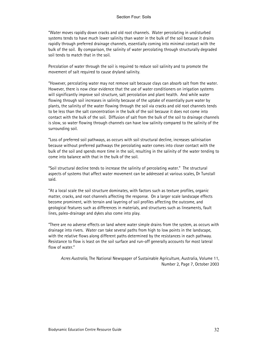"Water moves rapidly down cracks and old root channels. Water percolating in undisturbed systems tends to have much lower salinity than water in the bulk of the soil because it drains rapidly through preferred drainage channels, essentially coming into minimal contact with the bulk of the soil. By comparison, the salinity of water percolating through structurally degraded soil tends to match that in the soil.

Percolation of water through the soil is required to reduce soil salinity and to promote the movement of salt required to cause dryland salinity.

"However, percolating water may not remove salt because clays can absorb salt from the water. However, there is now clear evidence that the use of water conditioners on irrigation systems will significantly improve soil structure, salt percolation and plant health. And while water flowing through soil increases in salinity because of the uptake of essentially pure water by plants, the salinity of the water flowing through the soil via cracks and old root channels tends to be less than the salt concentration in the bulk of the soil because it does not come into contact with the bulk of the soil. Diffusion of salt from the bulk of the soil to drainage channels is slow, so water flowing through channels can have low salinity compared to the salinity of the surrounding soil.

"Loss of preferred soil pathways, as occurs with soil structural decline, increases salinisation because without preferred pathways the percolating water comes into closer contact with the bulk of the soil and spends more time in the soil, resulting in the salinity of the water tending to come into balance with that in the bulk of the soil.

"Soil structural decline tends to increase the salinity of percolating water." The structural aspects of systems that affect water movement can be addressed at various scales, Dr Tunstall said.

"At a local scale the soil structure dominates, with factors such as texture profiles, organic matter, cracks, and root channels affecting the response. On a larger scale landscape effects become prominent, with terrain and layering of soil profiles affecting the outcome, and geological features such as differences in materials, and structures such as lineaments, fault lines, paleo-drainage and dykes also come into play.

"There are no adverse effects on land where water simple drains from the system, as occurs with drainage into rivers. Water can take several paths from high to low points in the landscape, with the relative flows along different paths determined by the resistances in each pathway. Resistance to flow is least on the soil surface and run-off generally accounts for most lateral flow of water."

Acres Australia, The National Newspaper of Sustainable Agriculture, Australia, Volume 11, Number 2, Page 7, October 2003